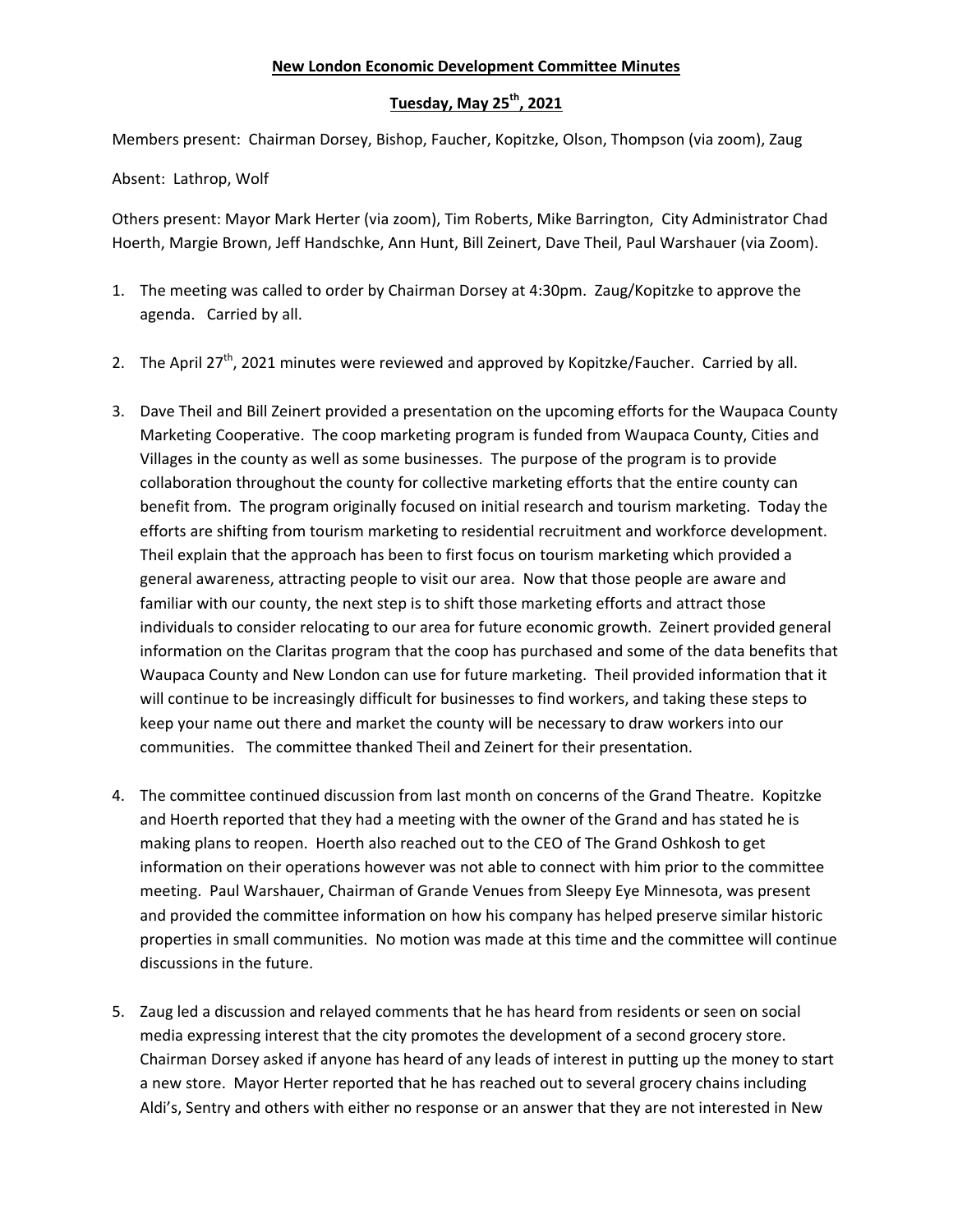## **New London Economic Development Committee Minutes**

## **Tuesday, May 25th, 2021**

Members present: Chairman Dorsey, Bishop, Faucher, Kopitzke, Olson, Thompson (via zoom), Zaug

Absent: Lathrop, Wolf

Others present: Mayor Mark Herter (via zoom), Tim Roberts, Mike Barrington, City Administrator Chad Hoerth, Margie Brown, Jeff Handschke, Ann Hunt, Bill Zeinert, Dave Theil, Paul Warshauer (via Zoom).

- 1. The meeting was called to order by Chairman Dorsey at 4:30pm. Zaug/Kopitzke to approve the agenda. Carried by all.
- 2. The April 27<sup>th</sup>, 2021 minutes were reviewed and approved by Kopitzke/Faucher. Carried by all.
- 3. Dave Theil and Bill Zeinert provided a presentation on the upcoming efforts for the Waupaca County Marketing Cooperative. The coop marketing program is funded from Waupaca County, Cities and Villages in the county as well as some businesses. The purpose of the program is to provide collaboration throughout the county for collective marketing efforts that the entire county can benefit from. The program originally focused on initial research and tourism marketing. Today the efforts are shifting from tourism marketing to residential recruitment and workforce development. Theil explain that the approach has been to first focus on tourism marketing which provided a general awareness, attracting people to visit our area. Now that those people are aware and familiar with our county, the next step is to shift those marketing efforts and attract those individuals to consider relocating to our area for future economic growth. Zeinert provided general information on the Claritas program that the coop has purchased and some of the data benefits that Waupaca County and New London can use for future marketing. Theil provided information that it will continue to be increasingly difficult for businesses to find workers, and taking these steps to keep your name out there and market the county will be necessary to draw workers into our communities. The committee thanked Theil and Zeinert for their presentation.
- 4. The committee continued discussion from last month on concerns of the Grand Theatre. Kopitzke and Hoerth reported that they had a meeting with the owner of the Grand and has stated he is making plans to reopen. Hoerth also reached out to the CEO of The Grand Oshkosh to get information on their operations however was not able to connect with him prior to the committee meeting. Paul Warshauer, Chairman of Grande Venues from Sleepy Eye Minnesota, was present and provided the committee information on how his company has helped preserve similar historic properties in small communities. No motion was made at this time and the committee will continue discussions in the future.
- 5. Zaug led a discussion and relayed comments that he has heard from residents or seen on social media expressing interest that the city promotes the development of a second grocery store. Chairman Dorsey asked if anyone has heard of any leads of interest in putting up the money to start a new store. Mayor Herter reported that he has reached out to several grocery chains including Aldi's, Sentry and others with either no response or an answer that they are not interested in New